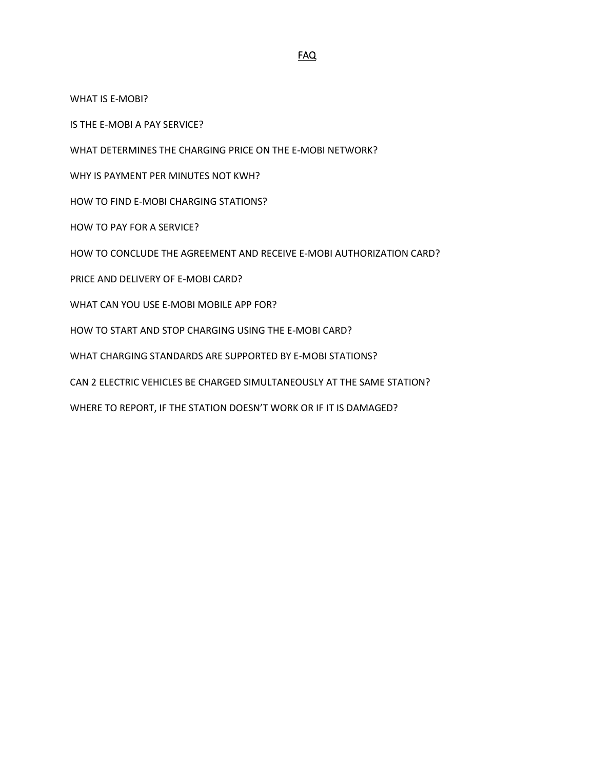[WHAT IS E-MOBI?](#page-1-0)

[IS THE E-MOBI A](#page-1-1) PAY SERVICE?

[WHAT DETERMINES THE CHARGING PRICE ON THE E-MOBI NETWORK?](#page-1-2)

[WHY IS PAYMENT PER MINUTES NOT KWH?](#page-1-3)

[HOW TO FIND E-MOBI CHARGING STATIONS?](#page-1-4)

[HOW TO PAY FOR A SERVICE?](#page-1-5)

[HOW TO CONCLUDE THE AGREEMENT AND RECEIVE E-MOBI AUTHORIZATION CARD?](#page-2-0)

[PRICE AND DELIVERY OF E-MOBI CARD?](#page-2-1)

[WHAT CAN YOU USE E-MOBI MOBILE APP FOR?](#page-3-0)

[HOW TO START AND STOP CHARGING USING THE E-MOBI CARD?](#page-3-1)

[WHAT CHARGING STANDARDS ARE SUPPORTED BY E-MOBI STATIONS?](#page-3-2)

[CAN 2 ELECTRIC VEHICLES BE CHARGED SIMULTANEOUSLY AT THE SAME STATION?](#page-3-3)

[WHERE TO REPORT, IF THE STATION DOESN](#page-3-4)'T WORK OR IF IT IS DAMAGED?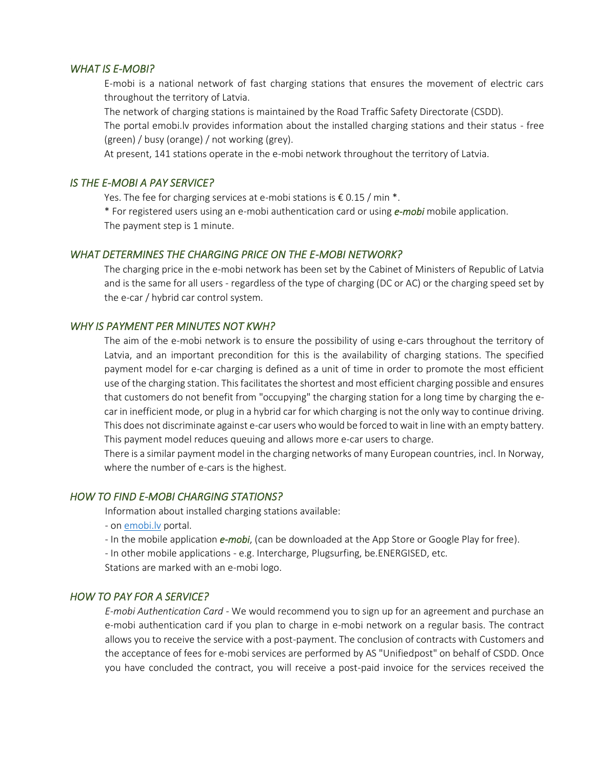### <span id="page-1-0"></span>*WHAT IS E-MOBI?*

E-mobi is a national network of fast charging stations that ensures the movement of electric cars throughout the territory of Latvia.

The network of charging stations is maintained by the Road Traffic Safety Directorate (CSDD).

The portal emobi.lv provides information about the installed charging stations and their status - free (green) / busy (orange) / not working (grey).

At present, 141 stations operate in the e-mobi network throughout the territory of Latvia.

#### <span id="page-1-1"></span>*IS THE E-MOBI A PAY SERVICE?*

Yes. The fee for charging services at e-mobi stations is € 0.15 / min  $*$ .

\* For registered users using an e-mobi authentication card or using *e-mobi* mobile application. The payment step is 1 minute.

#### <span id="page-1-2"></span>*WHAT DETERMINES THE CHARGING PRICE ON THE E-MOBI NETWORK?*

The charging price in the e-mobi network has been set by the Cabinet of Ministers of Republic of Latvia and is the same for all users - regardless of the type of charging (DC or AC) or the charging speed set by the e-car / hybrid car control system.

### <span id="page-1-3"></span>*WHY IS PAYMENT PER MINUTES NOT KWH?*

The aim of the e-mobi network is to ensure the possibility of using e-cars throughout the territory of Latvia, and an important precondition for this is the availability of charging stations. The specified payment model for e-car charging is defined as a unit of time in order to promote the most efficient use of the charging station. This facilitates the shortest and most efficient charging possible and ensures that customers do not benefit from "occupying" the charging station for a long time by charging the ecar in inefficient mode, or plug in a hybrid car for which charging is not the only way to continue driving. This does not discriminate against e-car users who would be forced to wait in line with an empty battery. This payment model reduces queuing and allows more e-car users to charge.

There is a similar payment model in the charging networks of many European countries, incl. In Norway, where the number of e-cars is the highest.

#### <span id="page-1-4"></span>*HOW TO FIND E-MOBI CHARGING STATIONS?*

Information about installed charging stations available:

- on [emobi.lv](http://portal.e-mobi.lv/en/home/) portal.
- In the mobile application *e-mobi*, (can be downloaded at the App Store or Google Play for free).
- In other mobile applications e.g. Intercharge, Plugsurfing, be.ENERGISED, etc.

Stations are marked with an e-mobi logo.

#### <span id="page-1-5"></span>*HOW TO PAY FOR A SERVICE?*

*E-mobi Authentication Card -* We would recommend you to sign up for an agreement and purchase an e-mobi authentication card if you plan to charge in e-mobi network on a regular basis. The contract allows you to receive the service with a post-payment. The conclusion of contracts with Customers and the acceptance of fees for e-mobi services are performed by AS "Unifiedpost" on behalf of CSDD. Once you have concluded the contract, you will receive a post-paid invoice for the services received the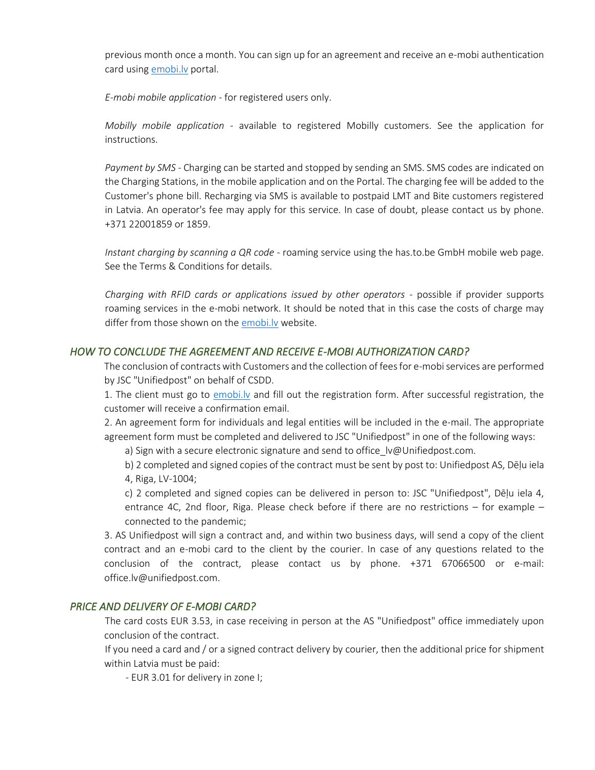previous month once a month. You can sign up for an agreement and receive an e-mobi authentication card using emobi.ly portal.

*E-mobi mobile application* - for registered users only.

*Mobilly mobile application* - available to registered Mobilly customers. See the application for instructions.

*Payment by SMS* - Charging can be started and stopped by sending an SMS. SMS codes are indicated on the Charging Stations, in the mobile application and on the Portal. The charging fee will be added to the Customer's phone bill. Recharging via SMS is available to postpaid LMT and Bite customers registered in Latvia. An operator's fee may apply for this service. In case of doubt, please contact us by phone. +371 22001859 or 1859.

*Instant charging by scanning a QR code* - roaming service using the has.to.be GmbH mobile web page. See the Terms & Conditions for details.

*Charging with RFID cards or applications issued by other operators* - possible if provider supports roaming services in the e-mobi network. It should be noted that in this case the costs of charge may differ from those shown on the emobi.ly website.

### <span id="page-2-0"></span>*HOW TO CONCLUDE THE AGREEMENT AND RECEIVE E-MOBI AUTHORIZATION CARD?*

The conclusion of contracts with Customers and the collection of fees for e-mobi services are performed by JSC "Unifiedpost" on behalf of CSDD.

1. The client must go to emobi.ly and fill out the registration form. After successful registration, the customer will receive a confirmation email.

2. An agreement form for individuals and legal entities will be included in the e-mail. The appropriate agreement form must be completed and delivered to JSC "Unifiedpost" in one of the following ways:

a) Sign with a secure electronic signature and send to office lv@Unifiedpost.com.

b) 2 completed and signed copies of the contract must be sent by post to: Unifiedpost AS, Dēļu iela 4, Riga, LV-1004;

c) 2 completed and signed copies can be delivered in person to: JSC "Unifiedpost", Dēļu iela 4, entrance 4C, 2nd floor, Riga. Please check before if there are no restrictions – for example – connected to the pandemic;

3. AS Unifiedpost will sign a contract and, and within two business days, will send a copy of the client contract and an e-mobi card to the client by the courier. In case of any questions related to the conclusion of the contract, please contact us by phone. +371 67066500 or e-mail: office.lv@unifiedpost.com.

#### <span id="page-2-1"></span>*PRICE AND DELIVERY OF E-MOBI CARD?*

The card costs EUR 3.53, in case receiving in person at the AS "Unifiedpost" office immediately upon conclusion of the contract.

If you need a card and / or a signed contract delivery by courier, then the additional price for shipment within Latvia must be paid:

- EUR 3.01 for delivery in zone I;